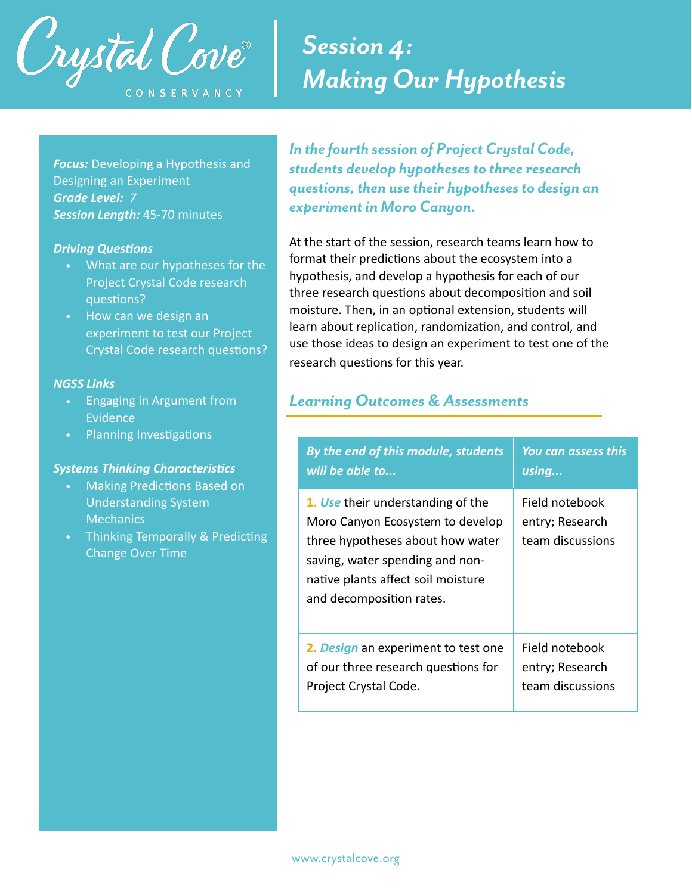

### *Session 4: Making Our Hypothesis*

**Focus:** Developing a Hypothesis and Designing an Experiment *Grade Level: 7 Session Length:* 45-70 minutes

#### **Driving Questions**

- What are our hypotheses for the Project Crystal Code research questions?
- How can we design an experiment to test our Project Crystal Code research questions?

#### *NGSS Links*

- Engaging in Argument from Evidence
- Planning Investigations

#### **Systems Thinking Characteristics**

- Making Predictions Based on Understanding System **Mechanics**
- Thinking Temporally & Predicting Change Over Time

*In the fourth session of Project Crystal Code, students develop hypotheses to three research questions, then use their hypotheses to design an experiment in Moro Canyon.* 

At the start of the session, research teams learn how to format their predictions about the ecosystem into a hypothesis, and develop a hypothesis for each of our three research questions about decomposition and soil moisture. Then, in an optional extension, students will learn about replication, randomization, and control, and use those ideas to design an experiment to test one of the research questions for this year.

#### *Learning Outcomes & Assessments*

| By the end of this module, students                                                                                                                                                                            | <b>You can assess this</b>                            |
|----------------------------------------------------------------------------------------------------------------------------------------------------------------------------------------------------------------|-------------------------------------------------------|
| will be able to                                                                                                                                                                                                | using                                                 |
| 1. Use their understanding of the<br>Moro Canyon Ecosystem to develop<br>three hypotheses about how water<br>saving, water spending and non-<br>native plants affect soil moisture<br>and decomposition rates. | Field notebook<br>entry; Research<br>team discussions |
| 2. Design an experiment to test one                                                                                                                                                                            | Field notebook                                        |
| of our three research questions for                                                                                                                                                                            | entry; Research                                       |
| Project Crystal Code.                                                                                                                                                                                          | team discussions                                      |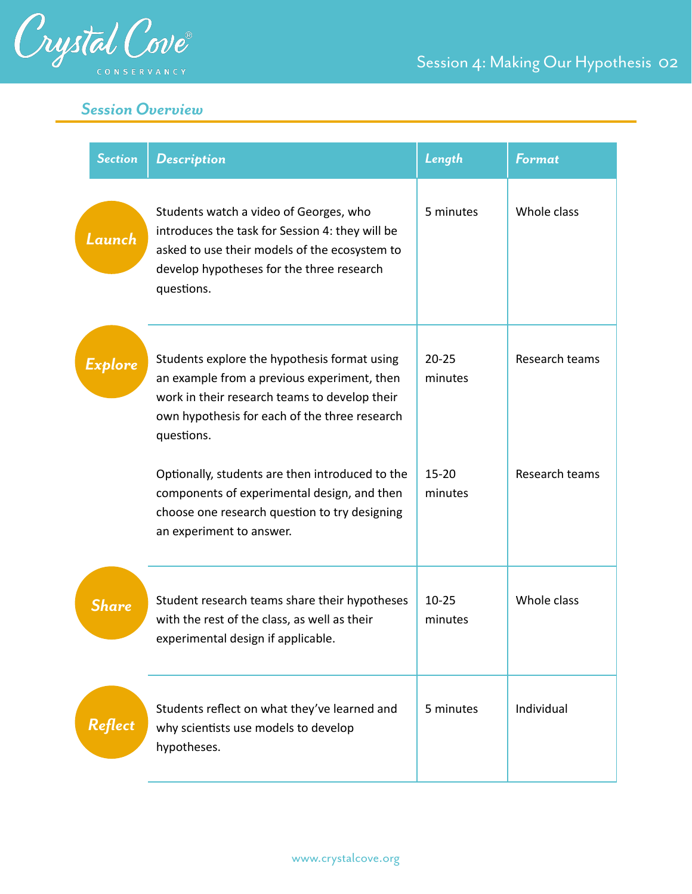

#### *Session Overview*

| <b>Section</b> | <b>Description</b>                                                                                                                                                                                          | Length               | <b>Format</b>  |
|----------------|-------------------------------------------------------------------------------------------------------------------------------------------------------------------------------------------------------------|----------------------|----------------|
| Launch         | Students watch a video of Georges, who<br>introduces the task for Session 4: they will be<br>asked to use their models of the ecosystem to<br>develop hypotheses for the three research<br>questions.       | 5 minutes            | Whole class    |
| Explore        | Students explore the hypothesis format using<br>an example from a previous experiment, then<br>work in their research teams to develop their<br>own hypothesis for each of the three research<br>questions. | $20 - 25$<br>minutes | Research teams |
|                | Optionally, students are then introduced to the<br>components of experimental design, and then<br>choose one research question to try designing<br>an experiment to answer.                                 | $15 - 20$<br>minutes | Research teams |
| <b>Share</b>   | Student research teams share their hypotheses<br>with the rest of the class, as well as their<br>experimental design if applicable.                                                                         | $10 - 25$<br>minutes | Whole class    |
| Reflect        | Students reflect on what they've learned and<br>why scientists use models to develop<br>hypotheses.                                                                                                         | 5 minutes            | Individual     |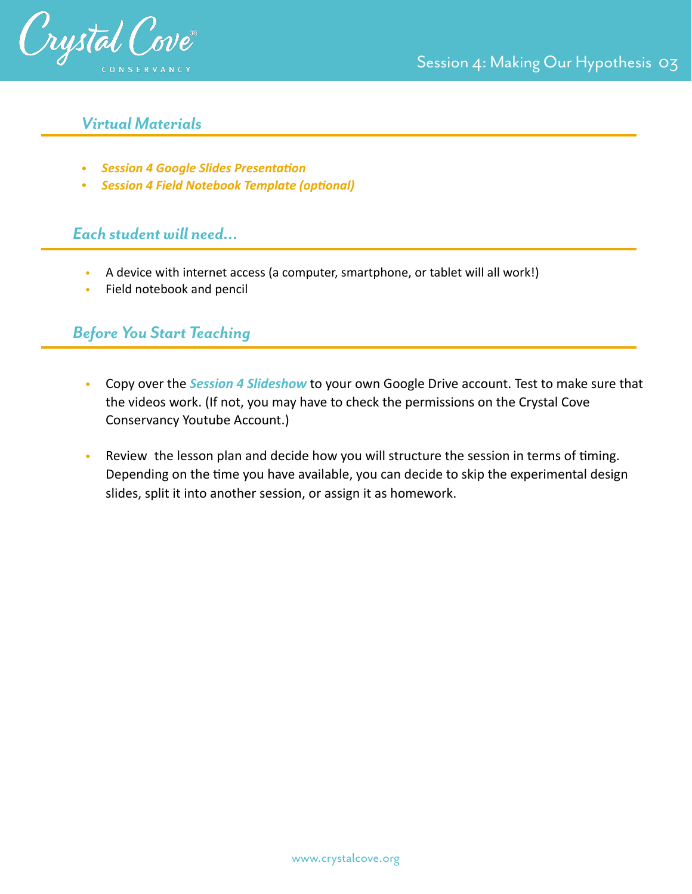

#### *Virtual Materials*

- **•** Session 4 Google Slides Presentation
- **•** Session 4 Field Notebook Template (optional)

#### *Each student will need…*

- A device with internet access (a computer, smartphone, or tablet will all work!)
- Field notebook and pencil

#### *Before You Start Teaching*

- Copy over the *Session 4 Slideshow* to your own Google Drive account. Test to make sure that the videos work. (If not, you may have to check the permissions on the Crystal Cove Conservancy Youtube Account.)
- Review the lesson plan and decide how you will structure the session in terms of timing. Depending on the time you have available, you can decide to skip the experimental design slides, split it into another session, or assign it as homework.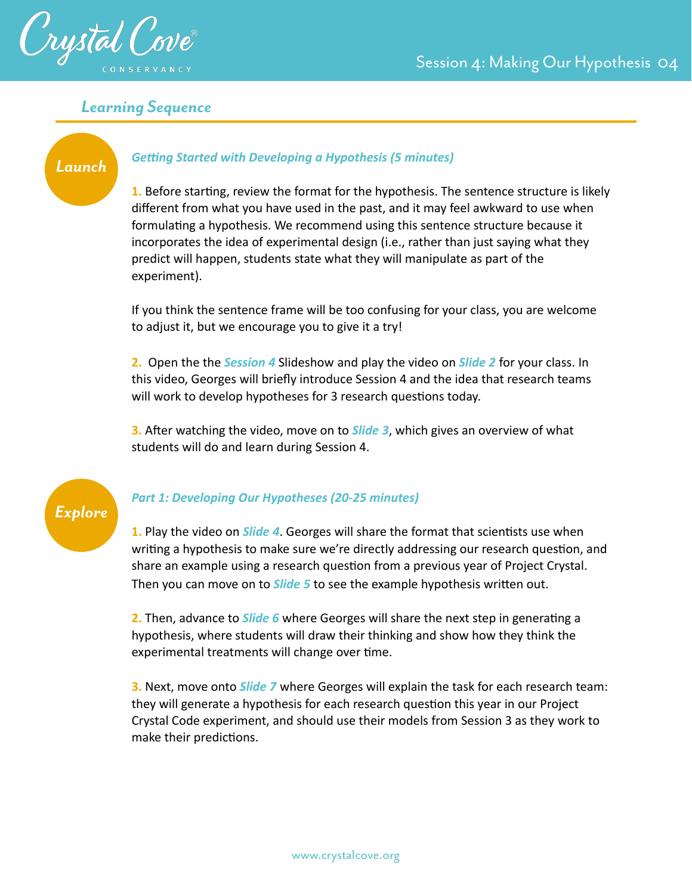



#### *Learning Sequence*

## *Launch*

#### **Getting Started with Developing a Hypothesis (5 minutes)**

**1.** Before starting, review the format for the hypothesis. The sentence structure is likely different from what you have used in the past, and it may feel awkward to use when formulating a hypothesis. We recommend using this sentence structure because it incorporates the idea of experimental design (i.e., rather than just saying what they predict will happen, students state what they will manipulate as part of the experiment).

If you think the sentence frame will be too confusing for your class, you are welcome to adjust it, but we encourage you to give it a try!

**2.** Open the the *Session 4* Slideshow and play the video on *Slide 2* for your class. In this video, Georges will briefly introduce Session 4 and the idea that research teams will work to develop hypotheses for 3 research questions today.

**3.** After watching the video, move on to **Slide 3**, which gives an overview of what students will do and learn during Session 4.



#### *Part 1: Developing Our Hypotheses (20-25 minutes)*

**1.** Play the video on *Slide 4*. Georges will share the format that scientists use when writing a hypothesis to make sure we're directly addressing our research question, and share an example using a research question from a previous year of Project Crystal. Then you can move on to *Slide 5* to see the example hypothesis written out.

**2.** Then, advance to *Slide 6* where Georges will share the next step in generating a hypothesis, where students will draw their thinking and show how they think the experimental treatments will change over time.

**3.** Next, move onto *Slide 7* where Georges will explain the task for each research team: they will generate a hypothesis for each research question this year in our Project Crystal Code experiment, and should use their models from Session 3 as they work to make their predictions.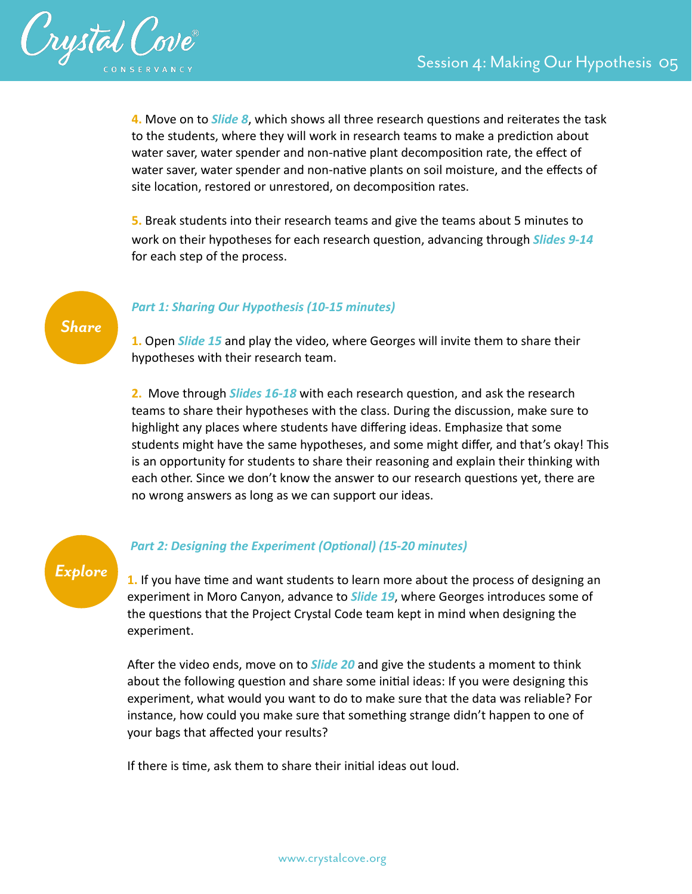

**4.** Move on to *Slide 8*, which shows all three research questions and reiterates the task to the students, where they will work in research teams to make a prediction about water saver, water spender and non-native plant decomposition rate, the effect of water saver, water spender and non-native plants on soil moisture, and the effects of site location, restored or unrestored, on decomposition rates.

**5.** Break students into their research teams and give the teams about 5 minutes to work on their hypotheses for each research question, advancing through *Slides 9-14* for each step of the process.

*Share*

#### *Part 1: Sharing Our Hypothesis (10-15 minutes)*

**1.** Open *Slide 15* and play the video, where Georges will invite them to share their hypotheses with their research team.

**2.** Move through *Slides 16-18* with each research question, and ask the research teams to share their hypotheses with the class. During the discussion, make sure to highlight any places where students have differing ideas. Emphasize that some students might have the same hypotheses, and some might differ, and that's okay! This is an opportunity for students to share their reasoning and explain their thinking with each other. Since we don't know the answer to our research questions yet, there are no wrong answers as long as we can support our ideas.

# *Explore*

#### **Part 2: Designing the Experiment (Optional) (15-20 minutes)**

1. If you have time and want students to learn more about the process of designing an experiment in Moro Canyon, advance to *Slide 19*, where Georges introduces some of the questions that the Project Crystal Code team kept in mind when designing the experiment.

After the video ends, move on to **Slide 20** and give the students a moment to think about the following question and share some initial ideas: If you were designing this experiment, what would you want to do to make sure that the data was reliable? For instance, how could you make sure that something strange didn't happen to one of your bags that affected your results?

If there is time, ask them to share their initial ideas out loud.